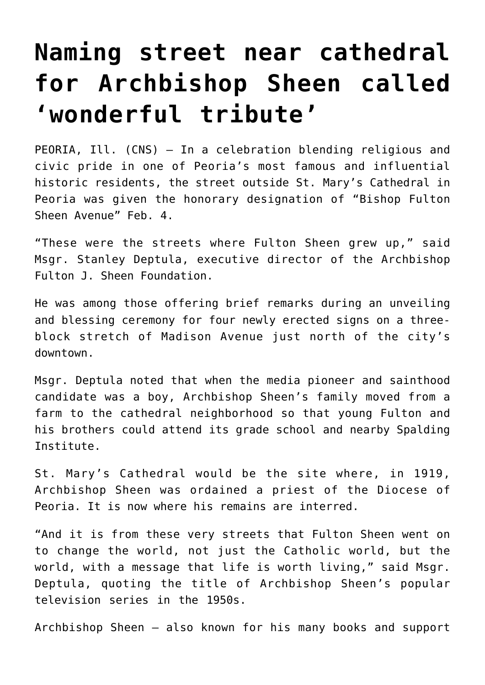## **[Naming street near cathedral](https://www.osvnews.com/amp/2021/02/10/naming-street-near-cathedral-for-archbishop-sheen-called-wonderful-tribute/) [for Archbishop Sheen called](https://www.osvnews.com/amp/2021/02/10/naming-street-near-cathedral-for-archbishop-sheen-called-wonderful-tribute/) ['wonderful tribute'](https://www.osvnews.com/amp/2021/02/10/naming-street-near-cathedral-for-archbishop-sheen-called-wonderful-tribute/)**

PEORIA, Ill. (CNS) — In a celebration blending religious and civic pride in one of Peoria's most famous and influential historic residents, the street outside St. Mary's Cathedral in Peoria was given the honorary designation of "Bishop Fulton Sheen Avenue" Feb. 4.

"These were the streets where Fulton Sheen grew up," said Msgr. Stanley Deptula, executive director of the Archbishop Fulton J. Sheen Foundation.

He was among those offering brief remarks during an unveiling and blessing ceremony for four newly erected signs on a threeblock stretch of Madison Avenue just north of the city's downtown.

Msgr. Deptula noted that when the media pioneer and sainthood candidate was a boy, Archbishop Sheen's family moved from a farm to the cathedral neighborhood so that young Fulton and his brothers could attend its grade school and nearby Spalding Institute.

St. Mary's Cathedral would be the site where, in 1919, Archbishop Sheen was ordained a priest of the Diocese of Peoria. It is now where his remains are interred.

"And it is from these very streets that Fulton Sheen went on to change the world, not just the Catholic world, but the world, with a message that life is worth living," said Msgr. Deptula, quoting the title of Archbishop Sheen's popular television series in the 1950s.

Archbishop Sheen — also known for his many books and support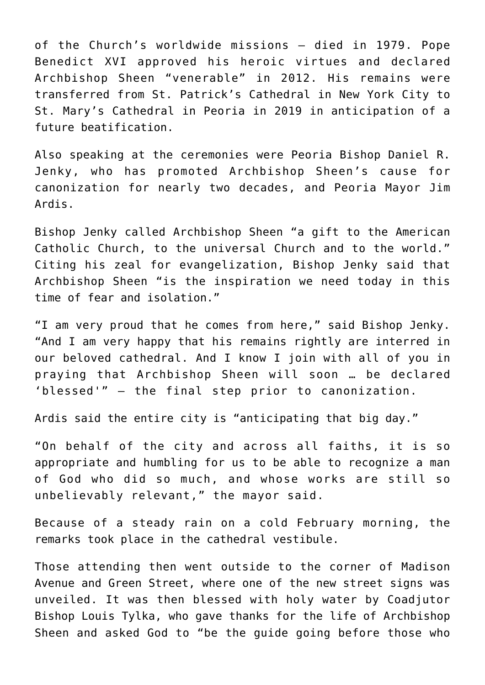of the Church's worldwide missions — died in 1979. Pope Benedict XVI approved his heroic virtues and declared Archbishop Sheen "venerable" in 2012. His remains were transferred from St. Patrick's Cathedral in New York City to St. Mary's Cathedral in Peoria in 2019 in anticipation of a future beatification.

Also speaking at the ceremonies were Peoria Bishop Daniel R. Jenky, who has promoted Archbishop Sheen's cause for canonization for nearly two decades, and Peoria Mayor Jim Ardis.

Bishop Jenky called Archbishop Sheen "a gift to the American Catholic Church, to the universal Church and to the world." Citing his zeal for evangelization, Bishop Jenky said that Archbishop Sheen "is the inspiration we need today in this time of fear and isolation."

"I am very proud that he comes from here," said Bishop Jenky. "And I am very happy that his remains rightly are interred in our beloved cathedral. And I know I join with all of you in praying that Archbishop Sheen will soon … be declared 'blessed'" — the final step prior to canonization.

Ardis said the entire city is "anticipating that big day."

"On behalf of the city and across all faiths, it is so appropriate and humbling for us to be able to recognize a man of God who did so much, and whose works are still so unbelievably relevant," the mayor said.

Because of a steady rain on a cold February morning, the remarks took place in the cathedral vestibule.

Those attending then went outside to the corner of Madison Avenue and Green Street, where one of the new street signs was unveiled. It was then blessed with holy water by Coadjutor Bishop Louis Tylka, who gave thanks for the life of Archbishop Sheen and asked God to "be the guide going before those who